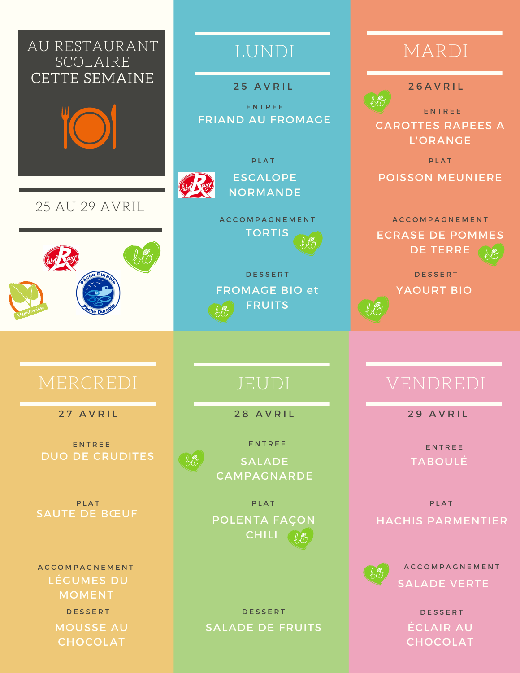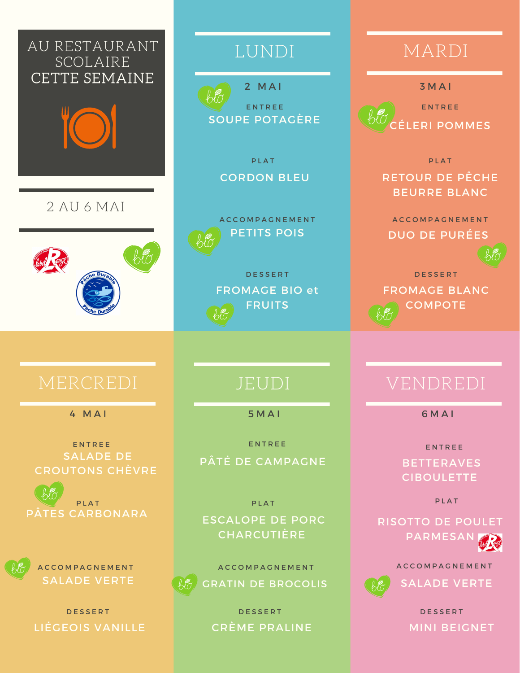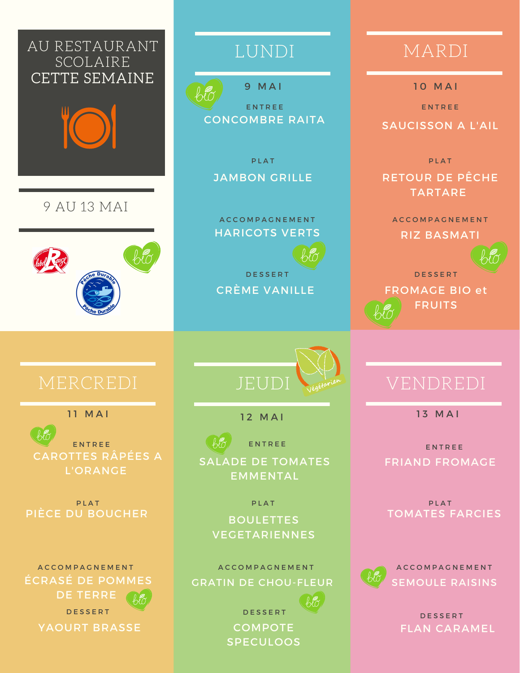

## MARDI

1 0 M A I

E N T R E E

SAUCISSON A L'AIL

RETOUR DE PÊCHE TARTARE P L A T

RIZ BASMATI A C C O M P A G N E M E N T



D E S S E R T FROMAGE BIO et FRUITS

**ACCOMPAGNEMENT** GRATIN DE CHOU-FLEUR ho **DESSERT** 

COMPOTE SPECULOOS VENDREDI

1 3 M A I

E N T R E E FRIAND FROMAGE

P L A T TOMATES FARCIES



**ACCOMPAGNEMENT** SEMOULE RAISINS

> **DESSERT** FLAN CARAMEL